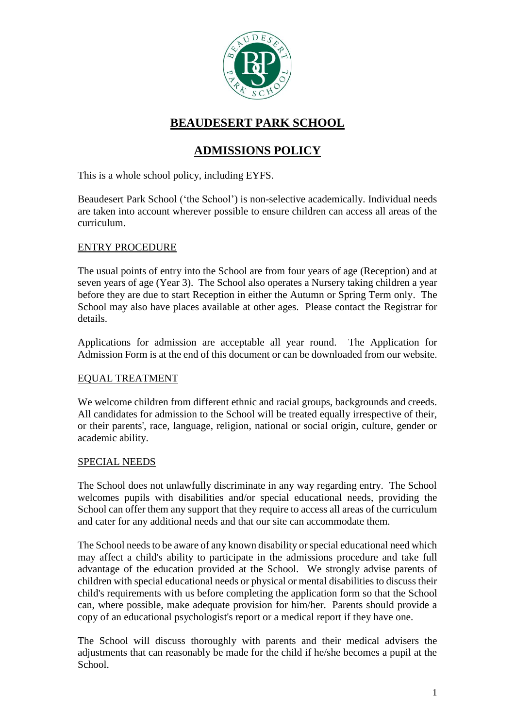

# **BEAUDESERT PARK SCHOOL**

# **ADMISSIONS POLICY**

This is a whole school policy, including EYFS.

Beaudesert Park School ('the School') is non-selective academically. Individual needs are taken into account wherever possible to ensure children can access all areas of the curriculum.

### ENTRY PROCEDURE

The usual points of entry into the School are from four years of age (Reception) and at seven years of age (Year 3). The School also operates a Nursery taking children a year before they are due to start Reception in either the Autumn or Spring Term only. The School may also have places available at other ages. Please contact the Registrar for details.

Applications for admission are acceptable all year round. The Application for Admission Form is at the end of this document or can be downloaded from our website.

# EQUAL TREATMENT

We welcome children from different ethnic and racial groups, backgrounds and creeds. All candidates for admission to the School will be treated equally irrespective of their, or their parents', race, language, religion, national or social origin, culture, gender or academic ability.

# SPECIAL NEEDS

The School does not unlawfully discriminate in any way regarding entry. The School welcomes pupils with disabilities and/or special educational needs, providing the School can offer them any support that they require to access all areas of the curriculum and cater for any additional needs and that our site can accommodate them.

The School needs to be aware of any known disability or special educational need which may affect a child's ability to participate in the admissions procedure and take full advantage of the education provided at the School. We strongly advise parents of children with special educational needs or physical or mental disabilities to discuss their child's requirements with us before completing the application form so that the School can, where possible, make adequate provision for him/her. Parents should provide a copy of an educational psychologist's report or a medical report if they have one.

The School will discuss thoroughly with parents and their medical advisers the adjustments that can reasonably be made for the child if he/she becomes a pupil at the School.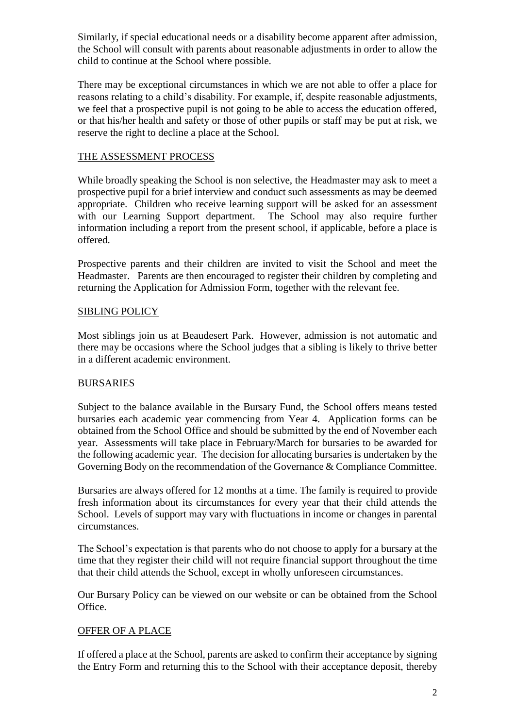Similarly, if special educational needs or a disability become apparent after admission, the School will consult with parents about reasonable adjustments in order to allow the child to continue at the School where possible.

There may be exceptional circumstances in which we are not able to offer a place for reasons relating to a child's disability. For example, if, despite reasonable adjustments, we feel that a prospective pupil is not going to be able to access the education offered, or that his/her health and safety or those of other pupils or staff may be put at risk, we reserve the right to decline a place at the School.

### THE ASSESSMENT PROCESS

While broadly speaking the School is non selective, the Headmaster may ask to meet a prospective pupil for a brief interview and conduct such assessments as may be deemed appropriate. Children who receive learning support will be asked for an assessment with our Learning Support department. The School may also require further information including a report from the present school, if applicable, before a place is offered.

Prospective parents and their children are invited to visit the School and meet the Headmaster. Parents are then encouraged to register their children by completing and returning the Application for Admission Form, together with the relevant fee.

### SIBLING POLICY

Most siblings join us at Beaudesert Park. However, admission is not automatic and there may be occasions where the School judges that a sibling is likely to thrive better in a different academic environment.

# BURSARIES

Subject to the balance available in the Bursary Fund, the School offers means tested bursaries each academic year commencing from Year 4. Application forms can be obtained from the School Office and should be submitted by the end of November each year. Assessments will take place in February/March for bursaries to be awarded for the following academic year. The decision for allocating bursaries is undertaken by the Governing Body on the recommendation of the Governance & Compliance Committee.

Bursaries are always offered for 12 months at a time. The family is required to provide fresh information about its circumstances for every year that their child attends the School. Levels of support may vary with fluctuations in income or changes in parental circumstances.

The School's expectation is that parents who do not choose to apply for a bursary at the time that they register their child will not require financial support throughout the time that their child attends the School, except in wholly unforeseen circumstances.

Our Bursary Policy can be viewed on our website or can be obtained from the School Office.

# OFFER OF A PLACE

If offered a place at the School, parents are asked to confirm their acceptance by signing the Entry Form and returning this to the School with their acceptance deposit, thereby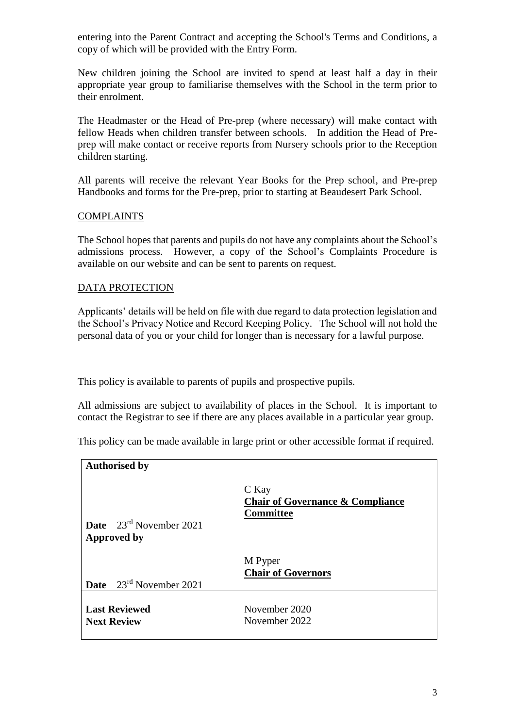entering into the Parent Contract and accepting the School's Terms and Conditions, a copy of which will be provided with the Entry Form.

New children joining the School are invited to spend at least half a day in their appropriate year group to familiarise themselves with the School in the term prior to their enrolment.

The Headmaster or the Head of Pre-prep (where necessary) will make contact with fellow Heads when children transfer between schools. In addition the Head of Preprep will make contact or receive reports from Nursery schools prior to the Reception children starting.

All parents will receive the relevant Year Books for the Prep school, and Pre-prep Handbooks and forms for the Pre-prep, prior to starting at Beaudesert Park School.

### COMPLAINTS

The School hopes that parents and pupils do not have any complaints about the School's admissions process. However, a copy of the School's Complaints Procedure is available on our website and can be sent to parents on request.

### DATA PROTECTION

Applicants' details will be held on file with due regard to data protection legislation and the School's Privacy Notice and Record Keeping Policy. The School will not hold the personal data of you or your child for longer than is necessary for a lawful purpose.

This policy is available to parents of pupils and prospective pupils.

All admissions are subject to availability of places in the School. It is important to contact the Registrar to see if there are any places available in a particular year group.

This policy can be made available in large print or other accessible format if required.

| <b>Authorised by</b>                       |                                                                          |
|--------------------------------------------|--------------------------------------------------------------------------|
| <b>Date</b> $23^{rd}$ November 2021        | C Kay<br><b>Chair of Governance &amp; Compliance</b><br><b>Committee</b> |
| <b>Approved by</b>                         |                                                                          |
|                                            | M Pyper<br><b>Chair of Governors</b>                                     |
| <b>Date</b> $23^{rd}$ November 2021        |                                                                          |
| <b>Last Reviewed</b><br><b>Next Review</b> | November 2020<br>November 2022                                           |